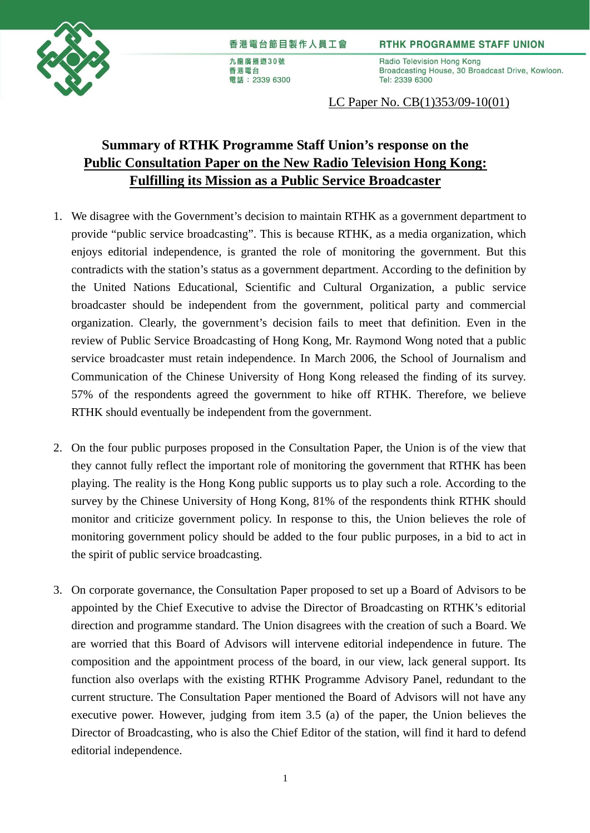

## 香港電台節目製作人員工會

九龍廣播道30號 香港電台 電話: 2339 6300 **RTHK PROGRAMME STAFF UNION** 

Radio Television Hong Kong Broadcasting House, 30 Broadcast Drive, Kowloon. Tel: 2339 6300

## LC Paper No. CB(1)353/09-10(01)

## **Summary of RTHK Programme Staff Union's response on the Public Consultation Paper on the New Radio Television Hong Kong: Fulfilling its Mission as a Public Service Broadcaster**

- 1. We disagree with the Government's decision to maintain RTHK as a government department to provide "public service broadcasting". This is because RTHK, as a media organization, which enjoys editorial independence, is granted the role of monitoring the government. But this contradicts with the station's status as a government department. According to the definition by the United Nations Educational, Scientific and Cultural Organization, a public service broadcaster should be independent from the government, political party and commercial organization. Clearly, the government's decision fails to meet that definition. Even in the review of Public Service Broadcasting of Hong Kong, Mr. Raymond Wong noted that a public service broadcaster must retain independence. In March 2006, the School of Journalism and Communication of the Chinese University of Hong Kong released the finding of its survey. 57% of the respondents agreed the government to hike off RTHK. Therefore, we believe RTHK should eventually be independent from the government.
- 2. On the four public purposes proposed in the Consultation Paper, the Union is of the view that they cannot fully reflect the important role of monitoring the government that RTHK has been playing. The reality is the Hong Kong public supports us to play such a role. According to the survey by the Chinese University of Hong Kong, 81% of the respondents think RTHK should monitor and criticize government policy. In response to this, the Union believes the role of monitoring government policy should be added to the four public purposes, in a bid to act in the spirit of public service broadcasting.
- 3. On corporate governance, the Consultation Paper proposed to set up a Board of Advisors to be appointed by the Chief Executive to advise the Director of Broadcasting on RTHK's editorial direction and programme standard. The Union disagrees with the creation of such a Board. We are worried that this Board of Advisors will intervene editorial independence in future. The composition and the appointment process of the board, in our view, lack general support. Its function also overlaps with the existing RTHK Programme Advisory Panel, redundant to the current structure. The Consultation Paper mentioned the Board of Advisors will not have any executive power. However, judging from item 3.5 (a) of the paper, the Union believes the Director of Broadcasting, who is also the Chief Editor of the station, will find it hard to defend editorial independence.